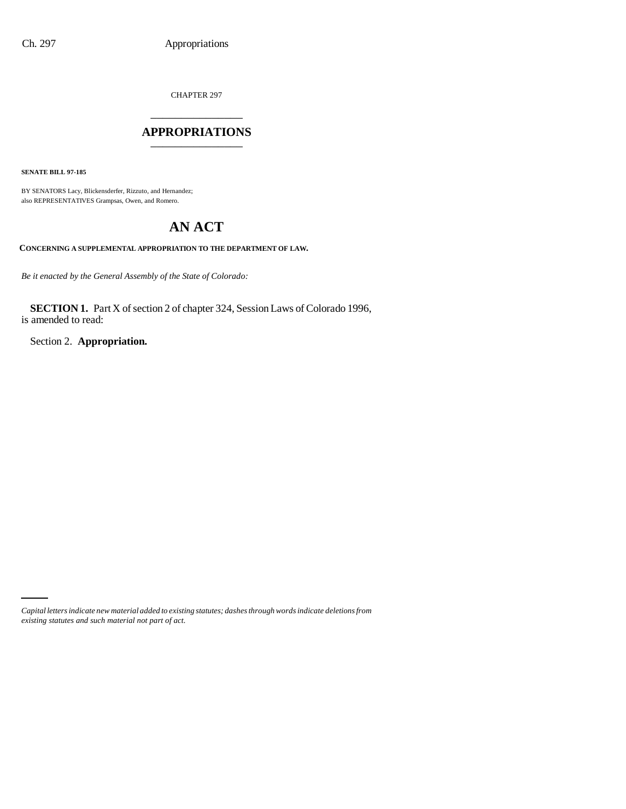CHAPTER 297

## \_\_\_\_\_\_\_\_\_\_\_\_\_\_\_ **APPROPRIATIONS** \_\_\_\_\_\_\_\_\_\_\_\_\_\_\_

**SENATE BILL 97-185**

BY SENATORS Lacy, Blickensderfer, Rizzuto, and Hernandez; also REPRESENTATIVES Grampsas, Owen, and Romero.

# **AN ACT**

**CONCERNING A SUPPLEMENTAL APPROPRIATION TO THE DEPARTMENT OF LAW.**

*Be it enacted by the General Assembly of the State of Colorado:*

**SECTION 1.** Part X of section 2 of chapter 324, Session Laws of Colorado 1996, is amended to read:

Section 2. **Appropriation.**

*Capital letters indicate new material added to existing statutes; dashes through words indicate deletions from existing statutes and such material not part of act.*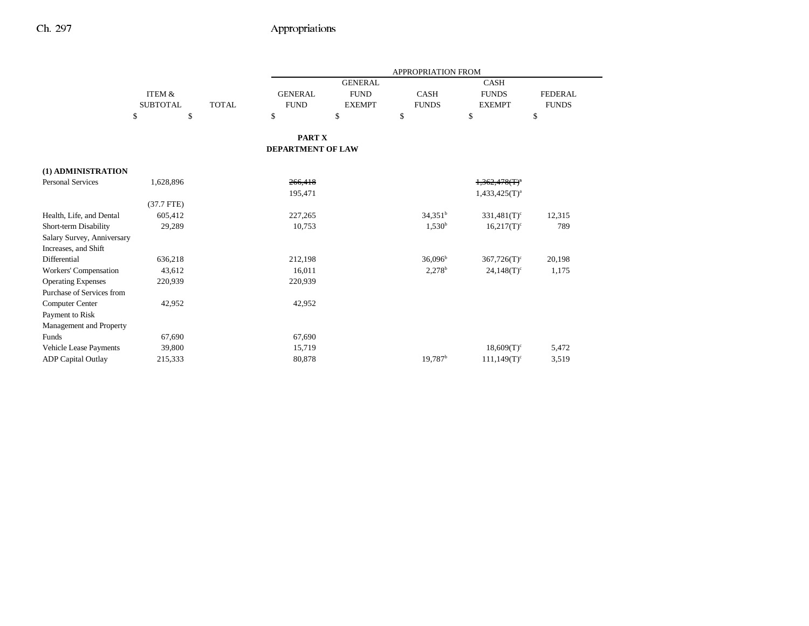|                            |                     |              |                   |                | <b>APPROPRIATION FROM</b> |                           |                |
|----------------------------|---------------------|--------------|-------------------|----------------|---------------------------|---------------------------|----------------|
|                            |                     |              |                   | <b>GENERAL</b> |                           | <b>CASH</b>               |                |
|                            | <b>ITEM &amp;</b>   |              | <b>GENERAL</b>    | <b>FUND</b>    | <b>CASH</b>               | <b>FUNDS</b>              | <b>FEDERAL</b> |
|                            | <b>SUBTOTAL</b>     | <b>TOTAL</b> | <b>FUND</b>       | <b>EXEMPT</b>  | <b>FUNDS</b>              | <b>EXEMPT</b>             | <b>FUNDS</b>   |
|                            | \$<br><sup>\$</sup> |              | $\mathbf S$       | $\mathbf S$    | \$                        | \$                        | \$             |
|                            |                     |              | PART X            |                |                           |                           |                |
|                            |                     |              | DEPARTMENT OF LAW |                |                           |                           |                |
| (1) ADMINISTRATION         |                     |              |                   |                |                           |                           |                |
| <b>Personal Services</b>   | 1,628,896           |              | 266,418           |                |                           | $1,362,478(T)^4$          |                |
|                            |                     |              | 195,471           |                |                           | $1,433,425(T)^{a}$        |                |
|                            | $(37.7$ FTE)        |              |                   |                |                           |                           |                |
| Health, Life, and Dental   | 605,412             |              | 227,265           |                | $34,351^b$                | $331,481(T)$ <sup>c</sup> | 12,315         |
| Short-term Disability      | 29,289              |              | 10,753            |                | $1,530^{\rm b}$           | $16,217(T)$ <sup>c</sup>  | 789            |
| Salary Survey, Anniversary |                     |              |                   |                |                           |                           |                |
| Increases, and Shift       |                     |              |                   |                |                           |                           |                |
| Differential               | 636,218             |              | 212,198           |                | $36,096^{\rm b}$          | $367,726(T)$ <sup>c</sup> | 20,198         |
| Workers' Compensation      | 43,612              |              | 16,011            |                | $2,278$ <sup>b</sup>      | $24,148(T)$ <sup>c</sup>  | 1,175          |
| <b>Operating Expenses</b>  | 220,939             |              | 220,939           |                |                           |                           |                |
| Purchase of Services from  |                     |              |                   |                |                           |                           |                |
| Computer Center            | 42,952              |              | 42,952            |                |                           |                           |                |
| Payment to Risk            |                     |              |                   |                |                           |                           |                |
| Management and Property    |                     |              |                   |                |                           |                           |                |
| Funds                      | 67,690              |              | 67,690            |                |                           |                           |                |
| Vehicle Lease Payments     | 39,800              |              | 15,719            |                |                           | $18,609(T)^c$             | 5,472          |
| <b>ADP</b> Capital Outlay  | 215,333             |              | 80,878            |                | 19,787 <sup>b</sup>       | $111,149(T)$ <sup>c</sup> | 3,519          |
|                            |                     |              |                   |                |                           |                           |                |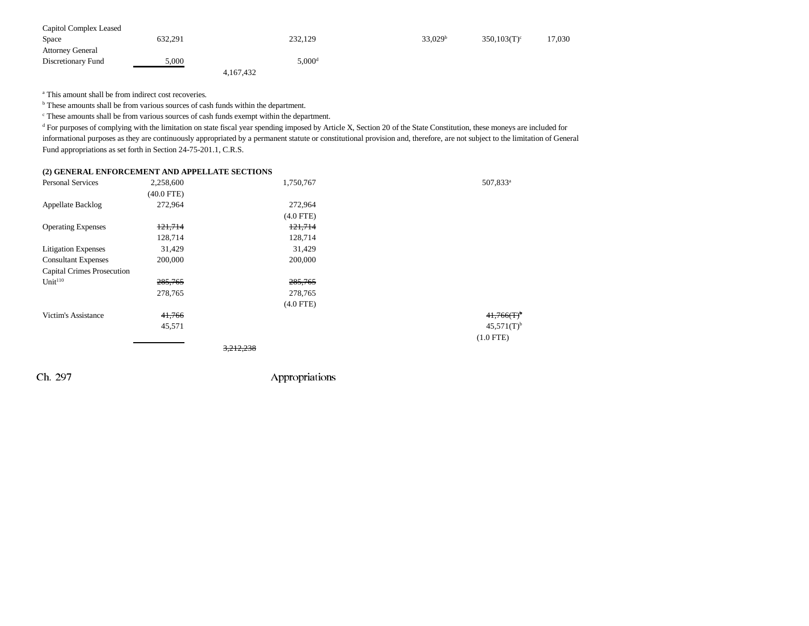| Capitol Complex Leased  |         |                    |                     |                |        |
|-------------------------|---------|--------------------|---------------------|----------------|--------|
| Space                   | 632,291 | 232,129            | 33.029 <sup>b</sup> | $350.103(T)^c$ | 17,030 |
| <b>Attorney General</b> |         |                    |                     |                |        |
| Discretionary Fund      | 5,000   | 5,000 <sup>d</sup> |                     |                |        |
|                         |         | 4,167,432          |                     |                |        |

<sup>a</sup> This amount shall be from indirect cost recoveries.

<sup>b</sup> These amounts shall be from various sources of cash funds within the department.

c These amounts shall be from various sources of cash funds exempt within the department.

<sup>d</sup> For purposes of complying with the limitation on state fiscal year spending imposed by Article X, Section 20 of the State Constitution, these moneys are included for informational purposes as they are continuously appropriated by a permanent statute or constitutional provision and, therefore, are not subject to the limitation of General Fund appropriations as set forth in Section 24-75-201.1, C.R.S.

#### **(2) GENERAL ENFORCEMENT AND APPELLATE SECTIONS**

| <b>Personal Services</b>          | 2,258,600    | 1,750,767   | 507,833 <sup>a</sup>     |
|-----------------------------------|--------------|-------------|--------------------------|
|                                   | $(40.0$ FTE) |             |                          |
| Appellate Backlog                 | 272,964      | 272,964     |                          |
|                                   |              | $(4.0$ FTE) |                          |
| <b>Operating Expenses</b>         | 121,714      | 121,714     |                          |
|                                   | 128,714      | 128,714     |                          |
| <b>Litigation Expenses</b>        | 31,429       | 31,429      |                          |
| <b>Consultant Expenses</b>        | 200,000      | 200,000     |                          |
| <b>Capital Crimes Prosecution</b> |              |             |                          |
| Unit <sup>110</sup>               | 285,765      | 285,765     |                          |
|                                   | 278,765      | 278,765     |                          |
|                                   |              | $(4.0$ FTE) |                          |
| Victim's Assistance               | 41,766       |             | $41,766(T)$ <sup>b</sup> |
|                                   | 45,571       |             | $45,571(T)$ <sup>b</sup> |
|                                   |              |             | $(1.0$ FTE)              |
|                                   |              | 3,212,238   |                          |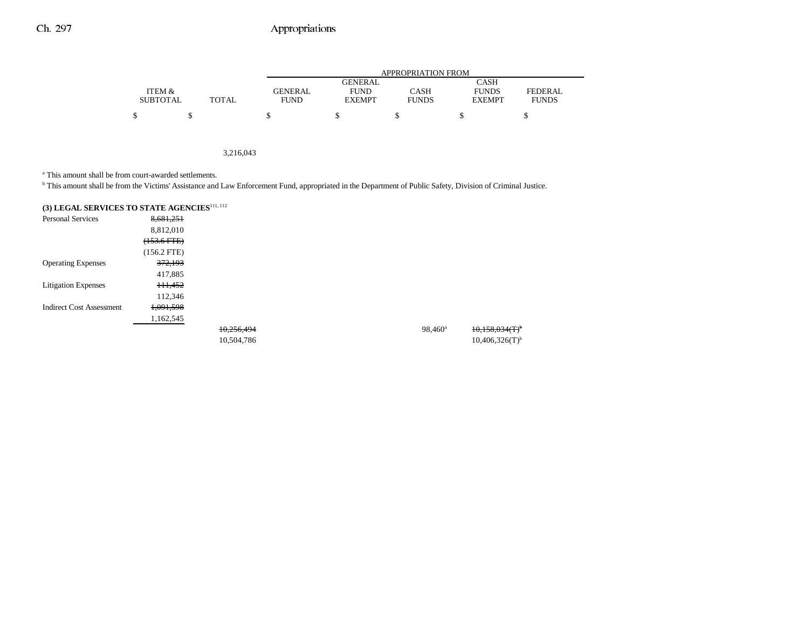## Ch. 297 Appropriations

|                 |       | APPROPRIATION FROM |               |              |               |              |  |  |
|-----------------|-------|--------------------|---------------|--------------|---------------|--------------|--|--|
|                 |       |                    | GENERAL       |              | CASH          |              |  |  |
| ITEM &          |       | <b>GENERAL</b>     | <b>FUND</b>   | CASH         | <b>FUNDS</b>  | FEDERAL      |  |  |
| <b>SUBTOTAL</b> | TOTAL | FUND               | <b>EXEMPT</b> | <b>FUNDS</b> | <b>EXEMPT</b> | <b>FUNDS</b> |  |  |
|                 |       |                    |               |              |               |              |  |  |

3,216,043

a This amount shall be from court-awarded settlements.

<sup>b</sup> This amount shall be from the Victims' Assistance and Law Enforcement Fund, appropriated in the Department of Public Safety, Division of Criminal Justice.

| (3) LEGAL SERVICES TO STATE AGENCIES <sup>111, 112</sup> |                    |            |  |                  |                              |
|----------------------------------------------------------|--------------------|------------|--|------------------|------------------------------|
| <b>Personal Services</b>                                 | 8,681,251          |            |  |                  |                              |
|                                                          | 8,812,010          |            |  |                  |                              |
|                                                          | $(153.6$ FTE)      |            |  |                  |                              |
|                                                          | $(156.2$ FTE)      |            |  |                  |                              |
| <b>Operating Expenses</b>                                | <del>372,193</del> |            |  |                  |                              |
|                                                          | 417,885            |            |  |                  |                              |
| <b>Litigation Expenses</b>                               | 111,452            |            |  |                  |                              |
|                                                          | 112,346            |            |  |                  |                              |
| <b>Indirect Cost Assessment</b>                          | 1,091,598          |            |  |                  |                              |
|                                                          | 1,162,545          |            |  |                  |                              |
|                                                          |                    | 10,256,494 |  | $98,460^{\rm a}$ | 10,158,034(T)                |
|                                                          |                    | 10,504,786 |  |                  | $10,406,326(T)$ <sup>b</sup> |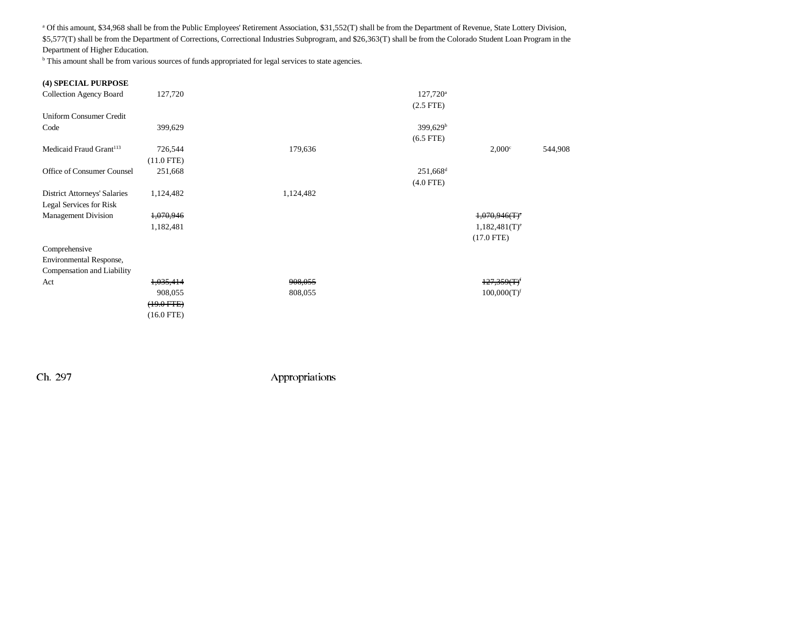a Of this amount, \$34,968 shall be from the Public Employees' Retirement Association, \$31,552(T) shall be from the Department of Revenue, State Lottery Division, \$5,577(T) shall be from the Department of Corrections, Correctional Industries Subprogram, and \$26,363(T) shall be from the Colorado Student Loan Program in the Department of Higher Education.

<sup>b</sup> This amount shall be from various sources of funds appropriated for legal services to state agencies.

| (4) SPECIAL PURPOSE                 |              |           |                        |                             |         |
|-------------------------------------|--------------|-----------|------------------------|-----------------------------|---------|
| <b>Collection Agency Board</b>      | 127,720      |           | $127,720^{\circ}$      |                             |         |
|                                     |              |           | $(2.5$ FTE $)$         |                             |         |
| <b>Uniform Consumer Credit</b>      |              |           |                        |                             |         |
| Code                                | 399,629      |           | 399,629 <sup>b</sup>   |                             |         |
|                                     |              |           | $(6.5$ FTE)            |                             |         |
| Medicaid Fraud Grant <sup>113</sup> | 726,544      | 179,636   |                        | $2,000^{\circ}$             | 544,908 |
|                                     | $(11.0$ FTE) |           |                        |                             |         |
| Office of Consumer Counsel          | 251,668      |           | $251,668$ <sup>d</sup> |                             |         |
|                                     |              |           | $(4.0$ FTE)            |                             |         |
| <b>District Attorneys' Salaries</b> | 1,124,482    | 1,124,482 |                        |                             |         |
| Legal Services for Risk             |              |           |                        |                             |         |
| <b>Management Division</b>          | 1,070,946    |           |                        | $1,070,946(T)$ <sup>e</sup> |         |
|                                     | 1,182,481    |           |                        | $1,182,481(T)^e$            |         |
|                                     |              |           |                        | $(17.0$ FTE)                |         |
| Comprehensive                       |              |           |                        |                             |         |
| Environmental Response,             |              |           |                        |                             |         |
| Compensation and Liability          |              |           |                        |                             |         |
| Act                                 | 1,035,414    | 908,055   |                        | $127,359(T)^f$              |         |
|                                     | 908,055      | 808,055   |                        | 100,000(T) <sup>f</sup>     |         |
|                                     | $(19.0$ FTE) |           |                        |                             |         |
|                                     | $(16.0$ FTE) |           |                        |                             |         |
|                                     |              |           |                        |                             |         |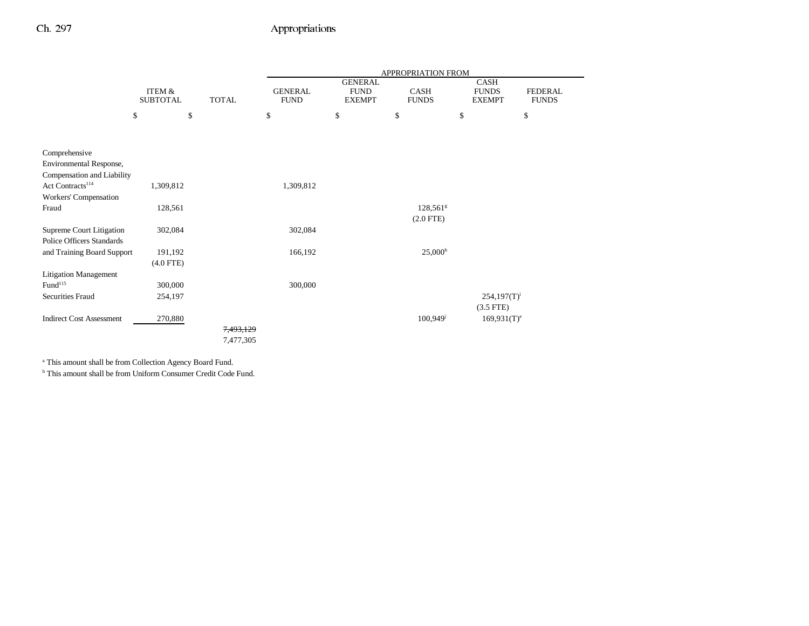## Ch. 297 Appropriations

|                                 |                                      |                        | APPROPRIATION FROM            |                                                |                                          |                                              |                                |
|---------------------------------|--------------------------------------|------------------------|-------------------------------|------------------------------------------------|------------------------------------------|----------------------------------------------|--------------------------------|
|                                 | <b>ITEM &amp;</b><br><b>SUBTOTAL</b> | <b>TOTAL</b>           | <b>GENERAL</b><br><b>FUND</b> | <b>GENERAL</b><br><b>FUND</b><br><b>EXEMPT</b> | CASH<br><b>FUNDS</b>                     | <b>CASH</b><br><b>FUNDS</b><br><b>EXEMPT</b> | <b>FEDERAL</b><br><b>FUNDS</b> |
|                                 | \$                                   | $\mathbb{S}$           | \$                            | \$                                             | \$                                       | \$                                           | \$                             |
|                                 |                                      |                        |                               |                                                |                                          |                                              |                                |
| Comprehensive                   |                                      |                        |                               |                                                |                                          |                                              |                                |
| Environmental Response,         |                                      |                        |                               |                                                |                                          |                                              |                                |
| Compensation and Liability      |                                      |                        |                               |                                                |                                          |                                              |                                |
| Act Contracts <sup>114</sup>    | 1,309,812                            |                        | 1,309,812                     |                                                |                                          |                                              |                                |
| Workers' Compensation           |                                      |                        |                               |                                                |                                          |                                              |                                |
| Fraud                           | 128,561                              |                        |                               |                                                | $128,561$ <sup>g</sup><br>$(2.0$ FTE $)$ |                                              |                                |
| Supreme Court Litigation        | 302,084                              |                        | 302,084                       |                                                |                                          |                                              |                                |
| Police Officers Standards       |                                      |                        |                               |                                                |                                          |                                              |                                |
| and Training Board Support      | 191,192                              |                        | 166,192                       |                                                | $25,000^{\rm h}$                         |                                              |                                |
|                                 | $(4.0$ FTE)                          |                        |                               |                                                |                                          |                                              |                                |
| <b>Litigation Management</b>    |                                      |                        |                               |                                                |                                          |                                              |                                |
| Fund <sup>115</sup>             | 300,000                              |                        | 300,000                       |                                                |                                          |                                              |                                |
| <b>Securities Fraud</b>         | 254,197                              |                        |                               |                                                |                                          | $254,197(T)^i$                               |                                |
|                                 |                                      |                        |                               |                                                |                                          | $(3.5$ FTE)                                  |                                |
| <b>Indirect Cost Assessment</b> | 270,880                              |                        |                               |                                                | $100,949$ <sup>j</sup>                   | $169,931(T)^e$                               |                                |
|                                 |                                      | 7,493,129<br>7,477,305 |                               |                                                |                                          |                                              |                                |
|                                 |                                      |                        |                               |                                                |                                          |                                              |                                |

a This amount shall be from Collection Agency Board Fund.

b This amount shall be from Uniform Consumer Credit Code Fund.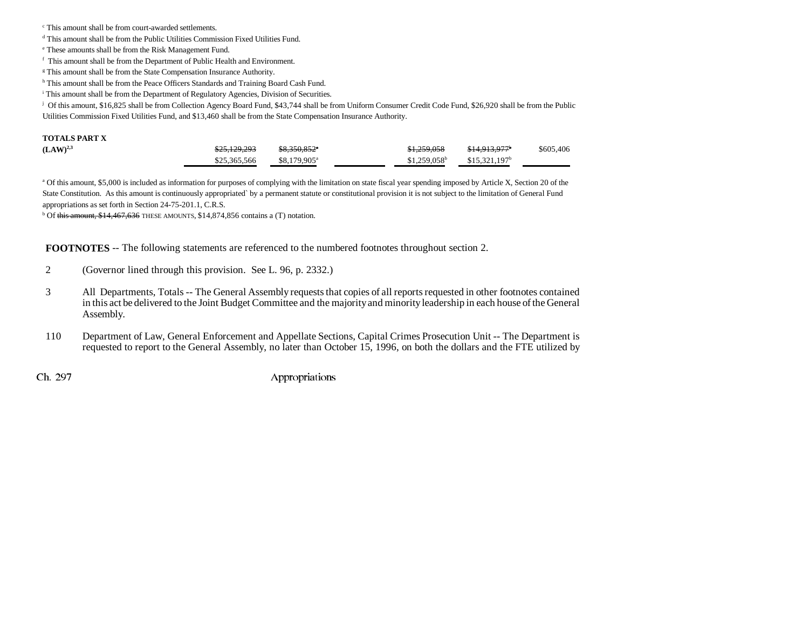c This amount shall be from court-awarded settlements.

d This amount shall be from the Public Utilities Commission Fixed Utilities Fund.

e These amounts shall be from the Risk Management Fund.

f This amount shall be from the Department of Public Health and Environment.

<sup>g</sup> This amount shall be from the State Compensation Insurance Authority.

h This amount shall be from the Peace Officers Standards and Training Board Cash Fund.

i This amount shall be from the Department of Regulatory Agencies, Division of Securities.

j Of this amount, \$16,825 shall be from Collection Agency Board Fund, \$43,744 shall be from Uniform Consumer Credit Code Fund, \$26,920 shall be from the Public Utilities Commission Fixed Utilities Fund, and \$13,460 shall be from the State Compensation Insurance Authority.

#### **TOTALS PART X**

| $(LAW)^{2,3}$ | \$25,129,293 | \$8,350,852 <sup>*</sup> | \$1,259,058    | <del>\$14,913,977</del> * | \$605,406 |
|---------------|--------------|--------------------------|----------------|---------------------------|-----------|
|               | \$25,365,566 | \$8,179,905 <sup>a</sup> | $$1,259,058^b$ | $$15,321,197^b$           |           |

<sup>a</sup> Of this amount, \$5,000 is included as information for purposes of complying with the limitation on state fiscal year spending imposed by Article X, Section 20 of the State Constitution. As this amount is continuously appropriated` by a permanent statute or constitutional provision it is not subject to the limitation of General Fund appropriations as set forth in Section 24-75-201.1, C.R.S.

 $b$  Of this amount, \$14,467,636 THESE AMOUNTS, \$14,874,856 contains a (T) notation.

**FOOTNOTES** -- The following statements are referenced to the numbered footnotes throughout section 2.

- 2 (Governor lined through this provision. See L. 96, p. 2332.)
- 3 All Departments, Totals -- The General Assembly requests that copies of all reports requested in other footnotes contained in this act be delivered to the Joint Budget Committee and the majority and minority leadership in each house of the General Assembly.
- 110 Department of Law, General Enforcement and Appellate Sections, Capital Crimes Prosecution Unit -- The Department is requested to report to the General Assembly, no later than October 15, 1996, on both the dollars and the FTE utilized by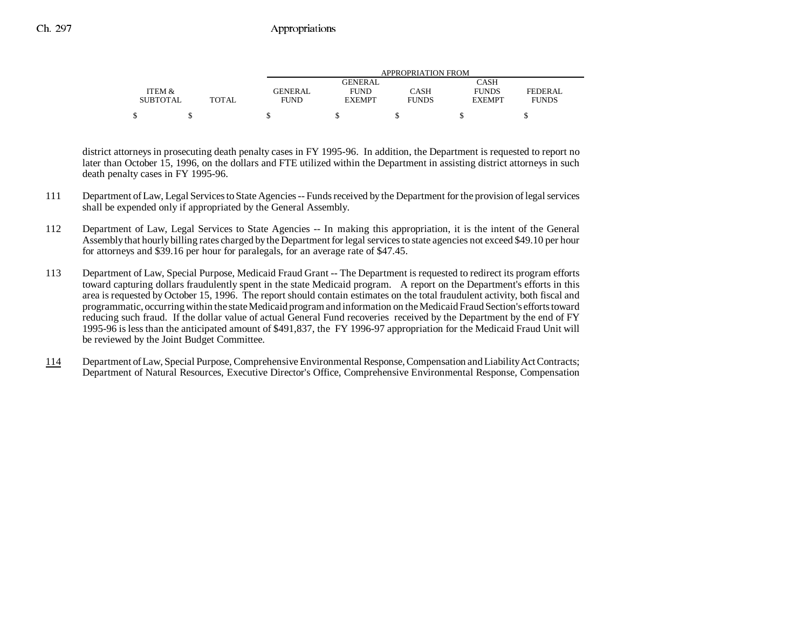|                 |       | APPROPRIATION FROM |                |              |               |                |  |  |
|-----------------|-------|--------------------|----------------|--------------|---------------|----------------|--|--|
|                 |       |                    | <b>GENERAL</b> |              | CASH          |                |  |  |
| ITEM &          |       | <b>GENERAL</b>     | <b>FUND</b>    | CASH         | <b>FUNDS</b>  | <b>FEDERAL</b> |  |  |
| <b>SUBTOTAL</b> | TOTAL | FUND               | <b>EXEMPT</b>  | <b>FUNDS</b> | <b>EXEMPT</b> | <b>FUNDS</b>   |  |  |
|                 |       |                    |                |              |               |                |  |  |
|                 |       |                    |                |              |               |                |  |  |

district attorneys in prosecuting death penalty cases in FY 1995-96. In addition, the Department is requested to report no later than October 15, 1996, on the dollars and FTE utilized within the Department in assisting district attorneys in such death penalty cases in FY 1995-96.

- 111 Department of Law, Legal Services to State Agencies -- Funds received by the Department for the provision of legal services shall be expended only if appropriated by the General Assembly.
- 112 Department of Law, Legal Services to State Agencies -- In making this appropriation, it is the intent of the General Assembly that hourly billing rates charged by the Department for legal services to state agencies not exceed \$49.10 per hour for attorneys and \$39.16 per hour for paralegals, for an average rate of \$47.45.
- 113 Department of Law, Special Purpose, Medicaid Fraud Grant -- The Department is requested to redirect its program efforts toward capturing dollars fraudulently spent in the state Medicaid program. A report on the Department's efforts in this area is requested by October 15, 1996. The report should contain estimates on the total fraudulent activity, both fiscal and programmatic, occurring within the state Medicaid program and information on the Medicaid Fraud Section's efforts toward reducing such fraud. If the dollar value of actual General Fund recoveries received by the Department by the end of FY 1995-96 is less than the anticipated amount of \$491,837, the FY 1996-97 appropriation for the Medicaid Fraud Unit will be reviewed by the Joint Budget Committee.
- 114 Department of Law, Special Purpose, Comprehensive Environmental Response, Compensation and Liability Act Contracts; Department of Natural Resources, Executive Director's Office, Comprehensive Environmental Response, Compensation